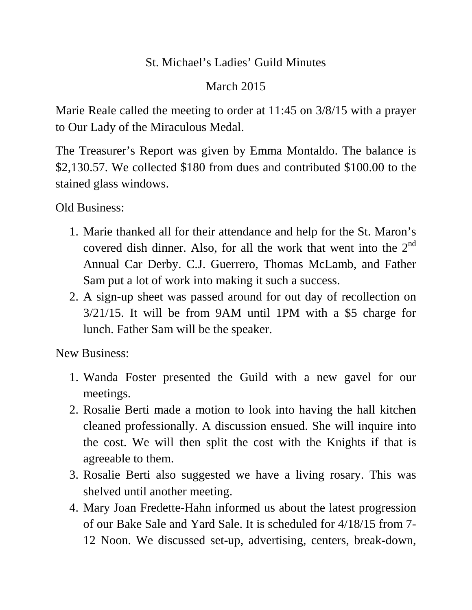## St. Michael's Ladies' Guild Minutes

## March 2015

Marie Reale called the meeting to order at 11:45 on 3/8/15 with a prayer to Our Lady of the Miraculous Medal.

The Treasurer's Report was given by Emma Montaldo. The balance is \$2,130.57. We collected \$180 from dues and contributed \$100.00 to the stained glass windows.

Old Business:

- 1. Marie thanked all for their attendance and help for the St. Maron's covered dish dinner. Also, for all the work that went into the  $2<sup>nd</sup>$ Annual Car Derby. C.J. Guerrero, Thomas McLamb, and Father Sam put a lot of work into making it such a success.
- 2. A sign-up sheet was passed around for out day of recollection on 3/21/15. It will be from 9AM until 1PM with a \$5 charge for lunch. Father Sam will be the speaker.

New Business:

- 1. Wanda Foster presented the Guild with a new gavel for our meetings.
- 2. Rosalie Berti made a motion to look into having the hall kitchen cleaned professionally. A discussion ensued. She will inquire into the cost. We will then split the cost with the Knights if that is agreeable to them.
- 3. Rosalie Berti also suggested we have a living rosary. This was shelved until another meeting.
- 4. Mary Joan Fredette-Hahn informed us about the latest progression of our Bake Sale and Yard Sale. It is scheduled for 4/18/15 from 7- 12 Noon. We discussed set-up, advertising, centers, break-down,